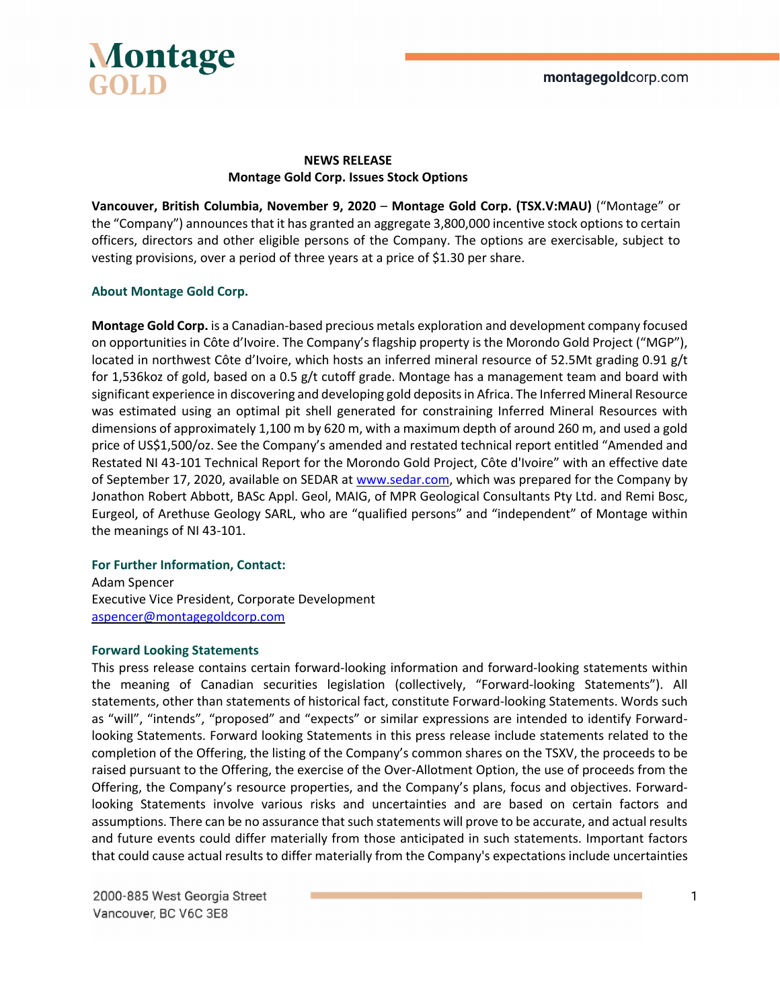

## **NEWS RELEASE Montage Gold Corp. Issues Stock Options**

**Vancouver, British Columbia, November 9, 2020** – **Montage Gold Corp. (TSX.V:MAU)** ("Montage" or the "Company") announces that it has granted an aggregate 3,800,000 incentive stock options to certain officers, directors and other eligible persons of the Company. The options are exercisable, subject to vesting provisions, over a period of three years at a price of \$1.30 per share.

### **About Montage Gold Corp.**

**Montage Gold Corp.** is a Canadian-based precious metals exploration and development company focused on opportunities in Côte d'Ivoire. The Company's flagship property is the Morondo Gold Project ("MGP"), located in northwest Côte d'Ivoire, which hosts an inferred mineral resource of 52.5Mt grading 0.91 g/t for 1,536koz of gold, based on a 0.5 g/t cutoff grade. Montage has a management team and board with significant experience in discovering and developing gold deposits in Africa. The Inferred Mineral Resource was estimated using an optimal pit shell generated for constraining Inferred Mineral Resources with dimensions of approximately 1,100 m by 620 m, with a maximum depth of around 260 m, and used a gold price of US\$1,500/oz. See the Company's amended and restated technical report entitled "Amended and Restated NI 43-101 Technical Report for the Morondo Gold Project, Côte d'Ivoire" with an effective date of September 17, 2020, available on SEDAR at www.sedar.com, which was prepared for the Company by Jonathon Robert Abbott, BASc Appl. Geol, MAIG, of MPR Geological Consultants Pty Ltd. and Remi Bosc, Eurgeol, of Arethuse Geology SARL, who are "qualified persons" and "independent" of Montage within the meanings of NI 43-101.

### **For Further Information, Contact:**

Adam Spencer Executive Vice President, Corporate Development aspencer@montagegoldcorp.com

### **Forward Looking Statements**

This press release contains certain forward-looking information and forward-looking statements within the meaning of Canadian securities legislation (collectively, "Forward-looking Statements"). All statements, other than statements of historical fact, constitute Forward-looking Statements. Words such as "will", "intends", "proposed" and "expects" or similar expressions are intended to identify Forwardlooking Statements. Forward looking Statements in this press release include statements related to the completion of the Offering, the listing of the Company's common shares on the TSXV, the proceeds to be raised pursuant to the Offering, the exercise of the Over-Allotment Option, the use of proceeds from the Offering, the Company's resource properties, and the Company's plans, focus and objectives. Forwardlooking Statements involve various risks and uncertainties and are based on certain factors and assumptions. There can be no assurance that such statements will prove to be accurate, and actual results and future events could differ materially from those anticipated in such statements. Important factors that could cause actual results to differ materially from the Company's expectations include uncertainties

2000-885 West Georgia Street Vancouver, BC V6C 3E8